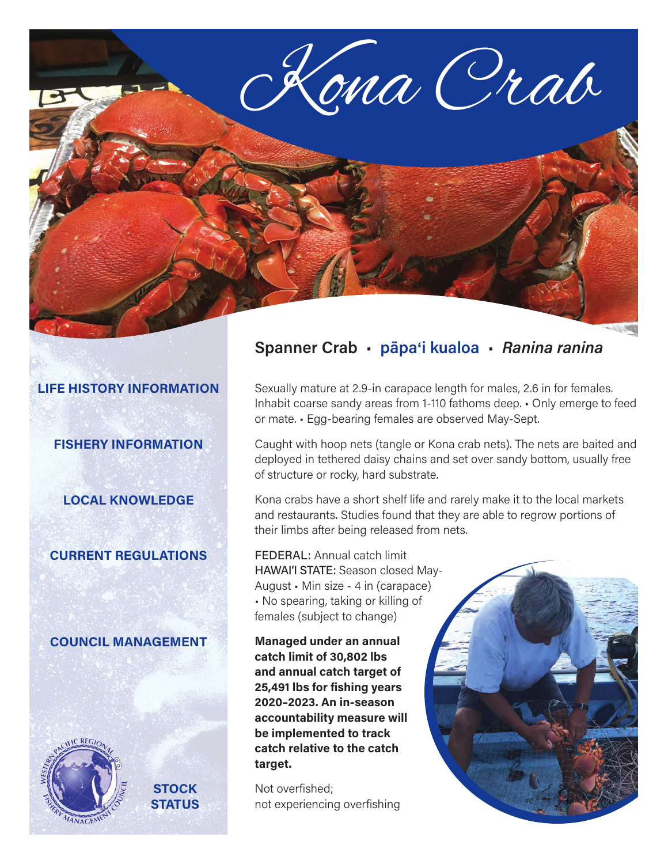

### **LIFE HISTORY INFORMATION**

**FISHERY INFORMATION**

**LOCAL KNOWLEDGE**

### **CURRENT REGULATIONS**

### **COUNCIL MANAGEMENT**



**STOCK STATUS**

## **Spanner Crab** • **pāpa**'**i kualoa** • *Ranina ranina*

Sexually mature at 2.9-in carapace length for males, 2.6 in for females. Inhabit coarse sandy areas from 1-110 fathoms deep. • Only emerge to feed or mate. • Egg-bearing females are observed May-Sept.

Caught with hoop nets (tangle or Kona crab nets). The nets are baited and deployed in tethered daisy chains and set over sandy bottom, usually free of structure or rocky, hard substrate.

Kona crabs have a short shelf life and rarely make it to the local markets and restaurants. Studies found that they are able to regrow portions of their limbs after being released from nets.

FEDERAL: Annual catch limit HAWAI'I STATE: Season closed May-August • Min size - 4 in (carapace) • No spearing, taking or killing of females (subject to change)

**Managed under an annual catch limit of 30,802 lbs and annual catch target of 25,491 lbs for fishing years 2020–2023. An in-season accountability measure will be implemented to track catch relative to the catch target.**

Not overfished; not experiencing overfishing